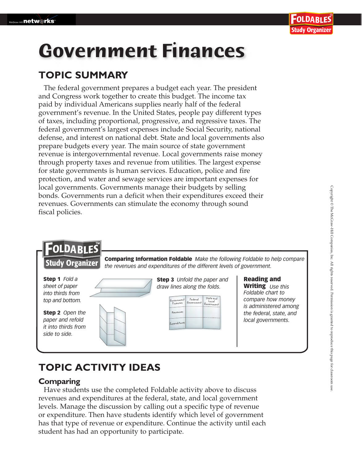# **Government Finances**

## **TOPIC SUMMARY**

The federal government prepares a budget each year. The president and Congress work together to create this budget. The income tax paid by individual Americans supplies nearly half of the federal government's revenue. In the United States, people pay different types of taxes, including proportional, progressive, and regressive taxes. The federal government's largest expenses include Social Security, national defense, and interest on national debt. State and local governments also prepare budgets every year. The main source of state government revenue is intergovernmental revenue. Local governments raise money through property taxes and revenue from utilities. The largest expense for state governments is human services. Education, police and fire protection, and water and sewage services are important expenses for local governments. Governments manage their budgets by selling bonds. Governments run a deficit when their expenditures exceed their revenues. Governments can stimulate the economy through sound fiscal policies.



## **TOPIC ACTIVITY IDEAS**

#### **Comparing**

Have students use the completed Foldable activity above to discuss revenues and expenditures at the federal, state, and local government levels. Manage the discussion by calling out a specific type of revenue or expenditure. Then have students identify which level of government has that type of revenue or expenditure. Continue the activity until each student has had an opportunity to participate.